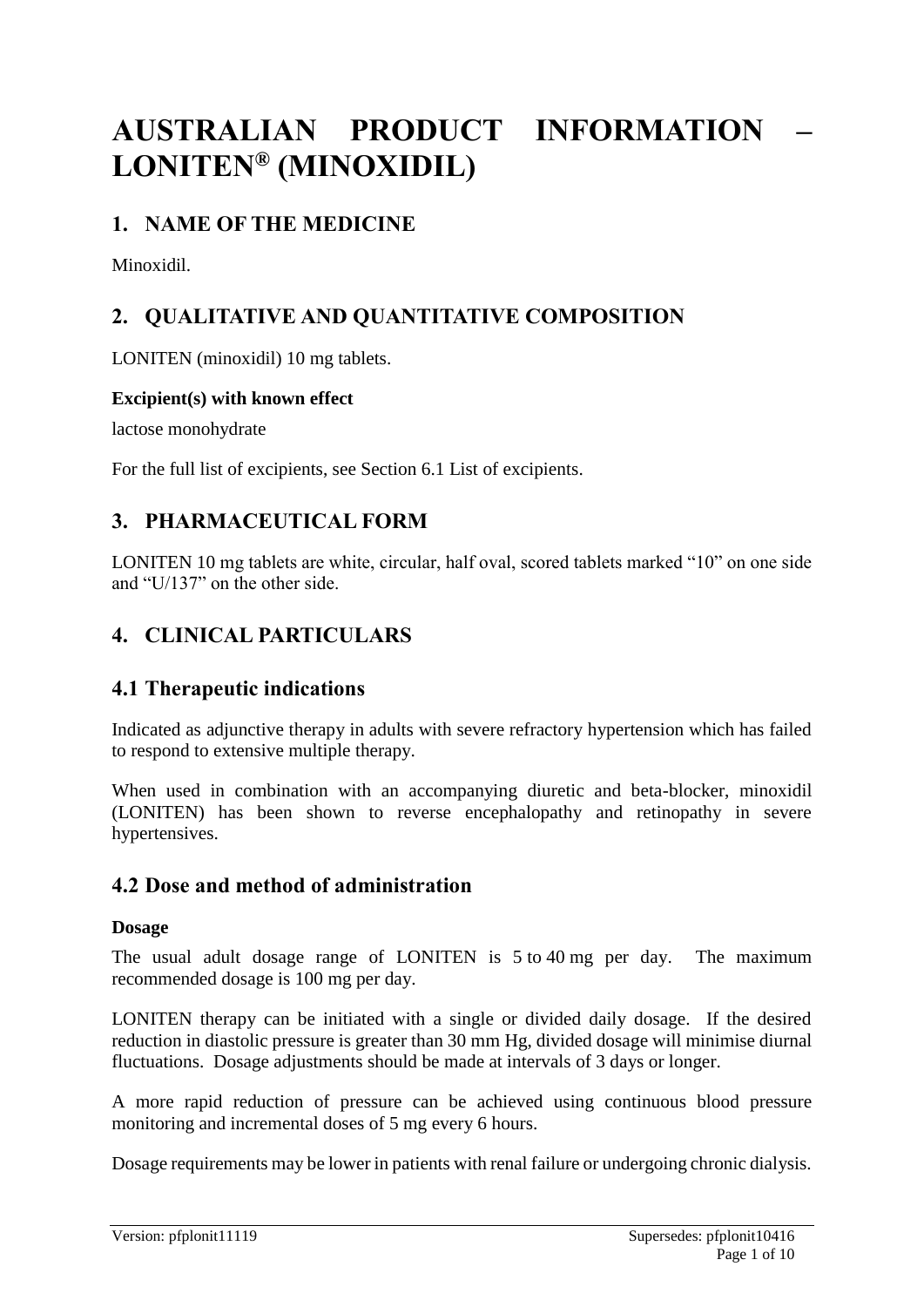# **AUSTRALIAN PRODUCT INFORMATION – LONITEN® (MINOXIDIL)**

# **1. NAME OF THE MEDICINE**

Minoxidil.

# **2. QUALITATIVE AND QUANTITATIVE COMPOSITION**

LONITEN (minoxidil) 10 mg tablets.

### **Excipient(s) with known effect**

lactose monohydrate

For the full list of excipients, see Section 6.1 List of excipients.

# **3. PHARMACEUTICAL FORM**

LONITEN 10 mg tablets are white, circular, half oval, scored tablets marked "10" on one side and "U/137" on the other side.

# **4. CLINICAL PARTICULARS**

# **4.1 Therapeutic indications**

Indicated as adjunctive therapy in adults with severe refractory hypertension which has failed to respond to extensive multiple therapy.

When used in combination with an accompanying diuretic and beta-blocker, minoxidil (LONITEN) has been shown to reverse encephalopathy and retinopathy in severe hypertensives.

# **4.2 Dose and method of administration**

### **Dosage**

The usual adult dosage range of LONITEN is 5 to 40 mg per day. The maximum recommended dosage is 100 mg per day.

LONITEN therapy can be initiated with a single or divided daily dosage. If the desired reduction in diastolic pressure is greater than 30 mm Hg, divided dosage will minimise diurnal fluctuations. Dosage adjustments should be made at intervals of 3 days or longer.

A more rapid reduction of pressure can be achieved using continuous blood pressure monitoring and incremental doses of 5 mg every 6 hours.

Dosage requirements may be lower in patients with renal failure or undergoing chronic dialysis.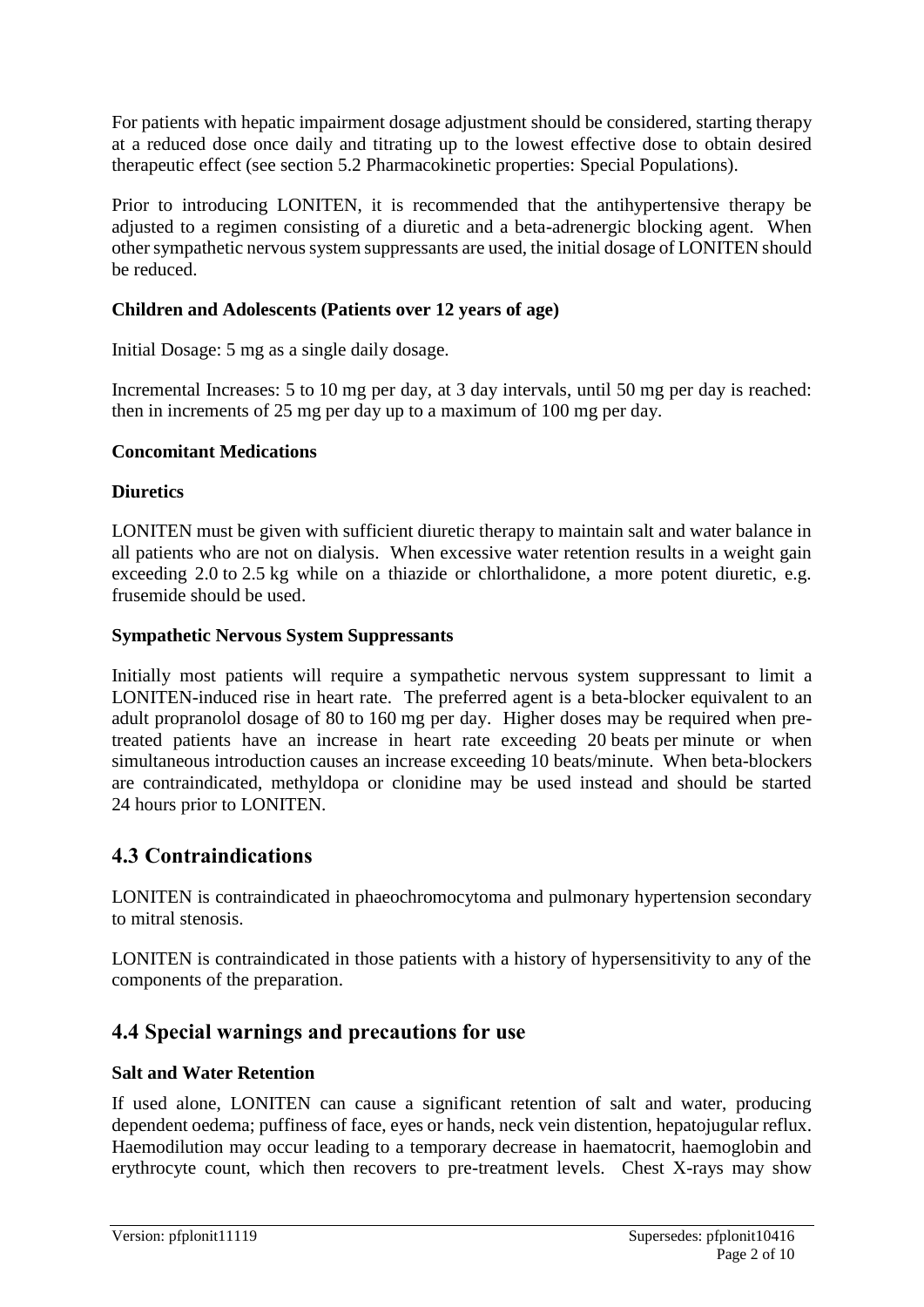For patients with hepatic impairment dosage adjustment should be considered, starting therapy at a reduced dose once daily and titrating up to the lowest effective dose to obtain desired therapeutic effect (see section 5.2 Pharmacokinetic properties: Special Populations).

Prior to introducing LONITEN, it is recommended that the antihypertensive therapy be adjusted to a regimen consisting of a diuretic and a beta-adrenergic blocking agent. When other sympathetic nervous system suppressants are used, the initial dosage of LONITEN should be reduced.

### **Children and Adolescents (Patients over 12 years of age)**

Initial Dosage: 5 mg as a single daily dosage.

Incremental Increases: 5 to 10 mg per day, at 3 day intervals, until 50 mg per day is reached: then in increments of 25 mg per day up to a maximum of 100 mg per day.

### **Concomitant Medications**

### **Diuretics**

LONITEN must be given with sufficient diuretic therapy to maintain salt and water balance in all patients who are not on dialysis. When excessive water retention results in a weight gain exceeding 2.0 to 2.5 kg while on a thiazide or chlorthalidone, a more potent diuretic, e.g. frusemide should be used.

### **Sympathetic Nervous System Suppressants**

Initially most patients will require a sympathetic nervous system suppressant to limit a LONITEN-induced rise in heart rate. The preferred agent is a beta-blocker equivalent to an adult propranolol dosage of 80 to 160 mg per day. Higher doses may be required when pretreated patients have an increase in heart rate exceeding 20 beats per minute or when simultaneous introduction causes an increase exceeding 10 beats/minute. When beta-blockers are contraindicated, methyldopa or clonidine may be used instead and should be started 24 hours prior to LONITEN.

### **4.3 Contraindications**

LONITEN is contraindicated in phaeochromocytoma and pulmonary hypertension secondary to mitral stenosis.

LONITEN is contraindicated in those patients with a history of hypersensitivity to any of the components of the preparation.

# **4.4 Special warnings and precautions for use**

### **Salt and Water Retention**

If used alone, LONITEN can cause a significant retention of salt and water, producing dependent oedema; puffiness of face, eyes or hands, neck vein distention, hepatojugular reflux. Haemodilution may occur leading to a temporary decrease in haematocrit, haemoglobin and erythrocyte count, which then recovers to pre-treatment levels. Chest X-rays may show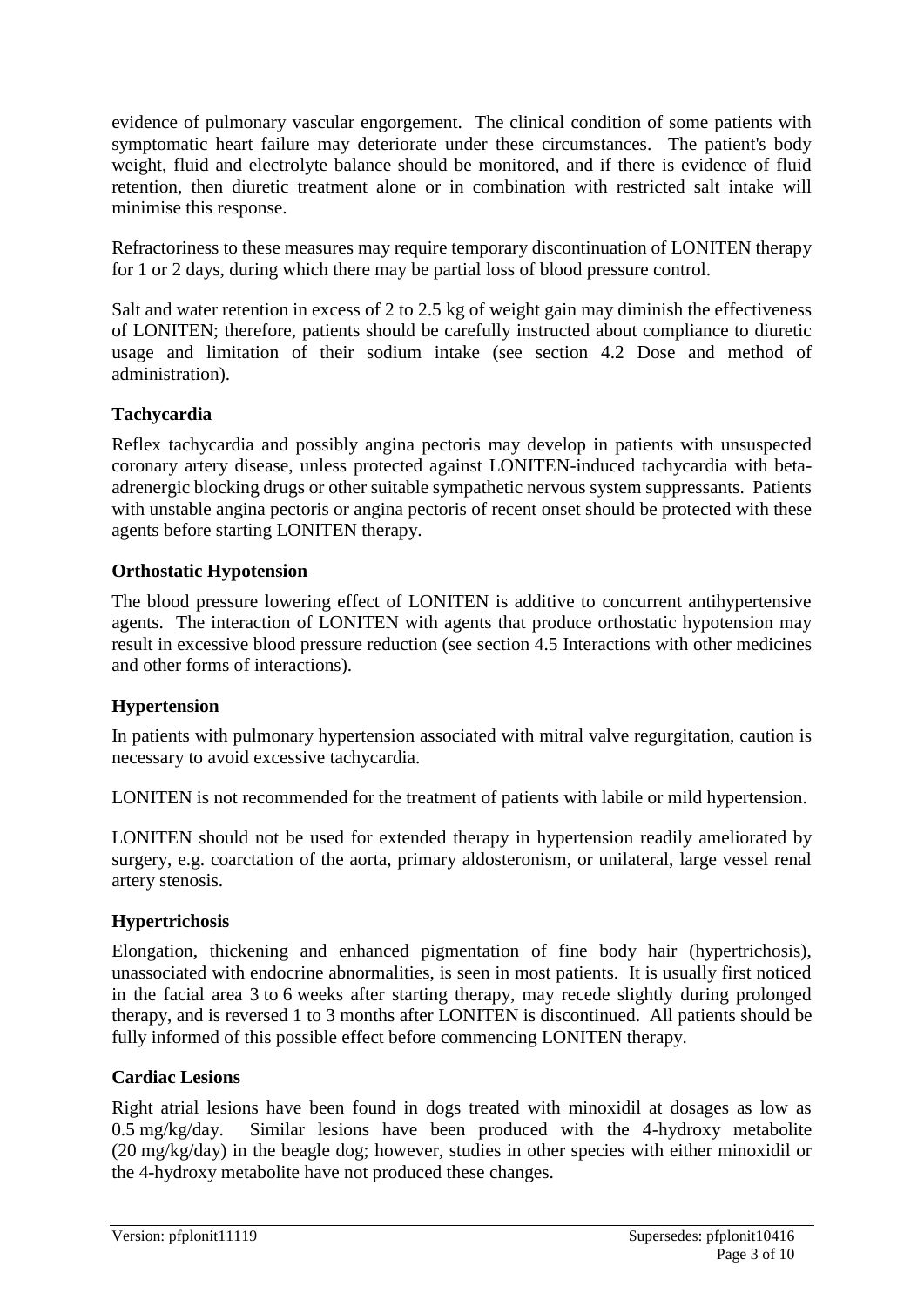evidence of pulmonary vascular engorgement. The clinical condition of some patients with symptomatic heart failure may deteriorate under these circumstances. The patient's body weight, fluid and electrolyte balance should be monitored, and if there is evidence of fluid retention, then diuretic treatment alone or in combination with restricted salt intake will minimise this response.

Refractoriness to these measures may require temporary discontinuation of LONITEN therapy for 1 or 2 days, during which there may be partial loss of blood pressure control.

Salt and water retention in excess of 2 to 2.5 kg of weight gain may diminish the effectiveness of LONITEN; therefore, patients should be carefully instructed about compliance to diuretic usage and limitation of their sodium intake (see section 4.2 Dose and method of administration).

### **Tachycardia**

Reflex tachycardia and possibly angina pectoris may develop in patients with unsuspected coronary artery disease, unless protected against LONITEN-induced tachycardia with betaadrenergic blocking drugs or other suitable sympathetic nervous system suppressants. Patients with unstable angina pectoris or angina pectoris of recent onset should be protected with these agents before starting LONITEN therapy.

### **Orthostatic Hypotension**

The blood pressure lowering effect of LONITEN is additive to concurrent antihypertensive agents. The interaction of LONITEN with agents that produce orthostatic hypotension may result in excessive blood pressure reduction (see section 4.5 Interactions with other medicines and other forms of interactions).

### **Hypertension**

In patients with pulmonary hypertension associated with mitral valve regurgitation, caution is necessary to avoid excessive tachycardia.

LONITEN is not recommended for the treatment of patients with labile or mild hypertension.

LONITEN should not be used for extended therapy in hypertension readily ameliorated by surgery, e.g. coarctation of the aorta, primary aldosteronism, or unilateral, large vessel renal artery stenosis.

### **Hypertrichosis**

Elongation, thickening and enhanced pigmentation of fine body hair (hypertrichosis), unassociated with endocrine abnormalities, is seen in most patients. It is usually first noticed in the facial area 3 to 6 weeks after starting therapy, may recede slightly during prolonged therapy, and is reversed 1 to 3 months after LONITEN is discontinued. All patients should be fully informed of this possible effect before commencing LONITEN therapy.

### **Cardiac Lesions**

Right atrial lesions have been found in dogs treated with minoxidil at dosages as low as 0.5 mg/kg/day. Similar lesions have been produced with the 4-hydroxy metabolite (20 mg/kg/day) in the beagle dog; however, studies in other species with either minoxidil or the 4-hydroxy metabolite have not produced these changes.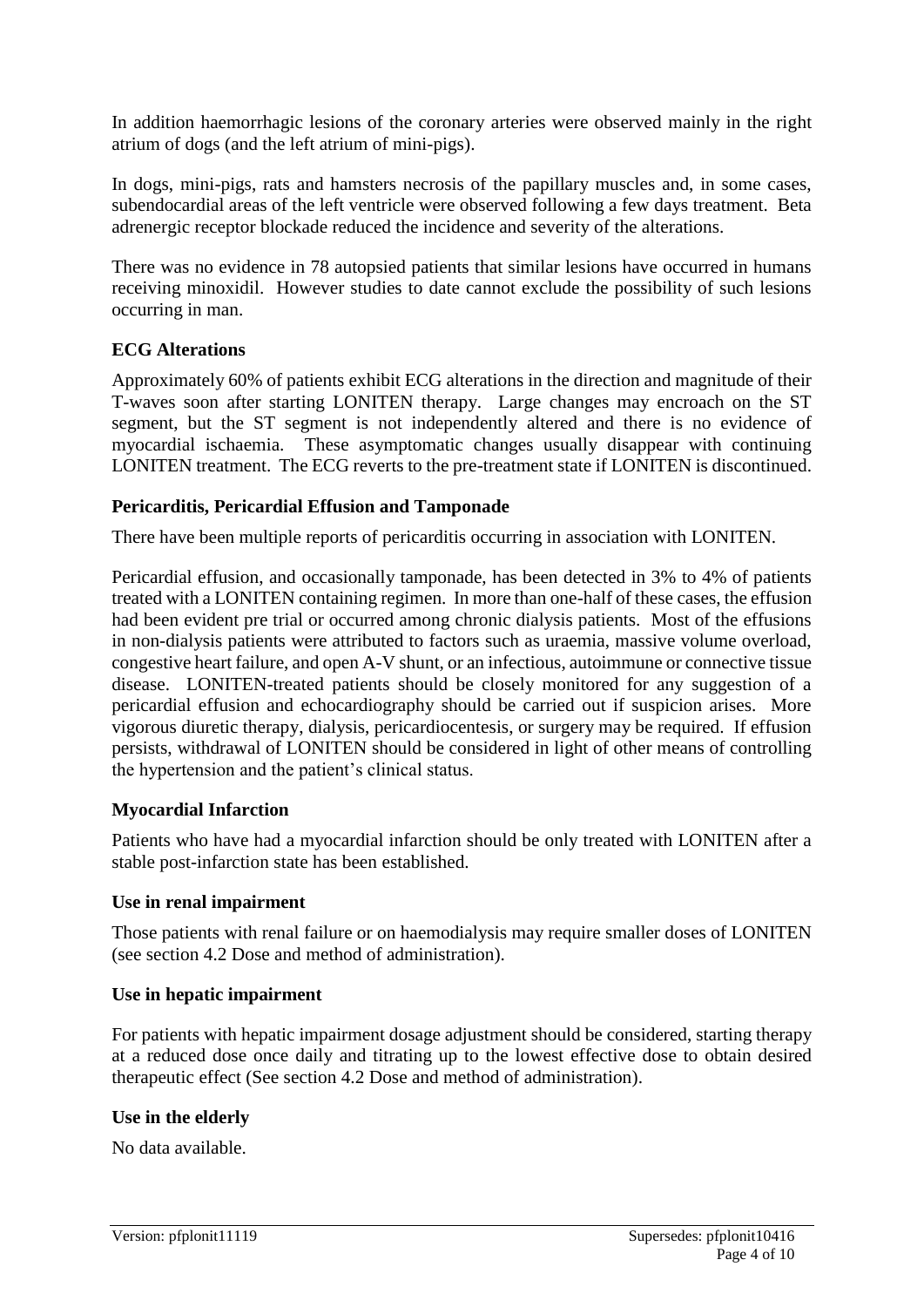In addition haemorrhagic lesions of the coronary arteries were observed mainly in the right atrium of dogs (and the left atrium of mini-pigs).

In dogs, mini-pigs, rats and hamsters necrosis of the papillary muscles and, in some cases, subendocardial areas of the left ventricle were observed following a few days treatment. Beta adrenergic receptor blockade reduced the incidence and severity of the alterations.

There was no evidence in 78 autopsied patients that similar lesions have occurred in humans receiving minoxidil. However studies to date cannot exclude the possibility of such lesions occurring in man.

### **ECG Alterations**

Approximately 60% of patients exhibit ECG alterations in the direction and magnitude of their T-waves soon after starting LONITEN therapy. Large changes may encroach on the ST segment, but the ST segment is not independently altered and there is no evidence of myocardial ischaemia. These asymptomatic changes usually disappear with continuing LONITEN treatment. The ECG reverts to the pre-treatment state if LONITEN is discontinued.

### **Pericarditis, Pericardial Effusion and Tamponade**

There have been multiple reports of pericarditis occurring in association with LONITEN.

Pericardial effusion, and occasionally tamponade, has been detected in 3% to 4% of patients treated with a LONITEN containing regimen. In more than one-half of these cases, the effusion had been evident pre trial or occurred among chronic dialysis patients. Most of the effusions in non-dialysis patients were attributed to factors such as uraemia, massive volume overload, congestive heart failure, and open A-V shunt, or an infectious, autoimmune or connective tissue disease. LONITEN-treated patients should be closely monitored for any suggestion of a pericardial effusion and echocardiography should be carried out if suspicion arises. More vigorous diuretic therapy, dialysis, pericardiocentesis, or surgery may be required. If effusion persists, withdrawal of LONITEN should be considered in light of other means of controlling the hypertension and the patient's clinical status.

### **Myocardial Infarction**

Patients who have had a myocardial infarction should be only treated with LONITEN after a stable post-infarction state has been established.

### **Use in renal impairment**

Those patients with renal failure or on haemodialysis may require smaller doses of LONITEN (see section 4.2 Dose and method of administration).

### **Use in hepatic impairment**

For patients with hepatic impairment dosage adjustment should be considered, starting therapy at a reduced dose once daily and titrating up to the lowest effective dose to obtain desired therapeutic effect (See section 4.2 Dose and method of administration).

### **Use in the elderly**

No data available.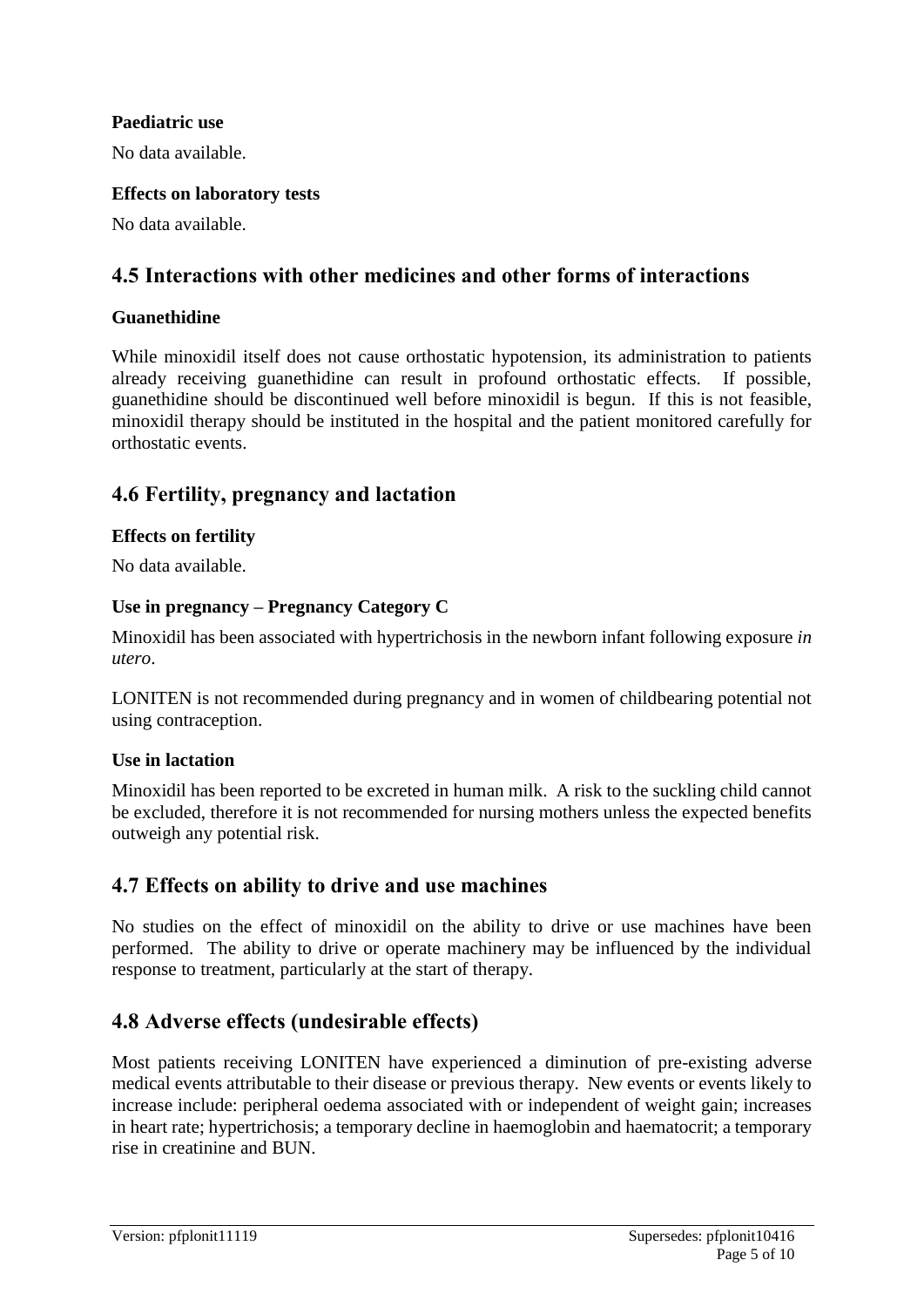### **Paediatric use**

No data available.

### **Effects on laboratory tests**

No data available.

### **4.5 Interactions with other medicines and other forms of interactions**

### **Guanethidine**

While minoxidil itself does not cause orthostatic hypotension, its administration to patients already receiving guanethidine can result in profound orthostatic effects. If possible, guanethidine should be discontinued well before minoxidil is begun. If this is not feasible, minoxidil therapy should be instituted in the hospital and the patient monitored carefully for orthostatic events.

### **4.6 Fertility, pregnancy and lactation**

### **Effects on fertility**

No data available.

### **Use in pregnancy – Pregnancy Category C**

Minoxidil has been associated with hypertrichosis in the newborn infant following exposure *in utero*.

LONITEN is not recommended during pregnancy and in women of childbearing potential not using contraception.

### **Use in lactation**

Minoxidil has been reported to be excreted in human milk. A risk to the suckling child cannot be excluded, therefore it is not recommended for nursing mothers unless the expected benefits outweigh any potential risk.

### **4.7 Effects on ability to drive and use machines**

No studies on the effect of minoxidil on the ability to drive or use machines have been performed. The ability to drive or operate machinery may be influenced by the individual response to treatment, particularly at the start of therapy.

### **4.8 Adverse effects (undesirable effects)**

Most patients receiving LONITEN have experienced a diminution of pre-existing adverse medical events attributable to their disease or previous therapy. New events or events likely to increase include: peripheral oedema associated with or independent of weight gain; increases in heart rate; hypertrichosis; a temporary decline in haemoglobin and haematocrit; a temporary rise in creatinine and BUN.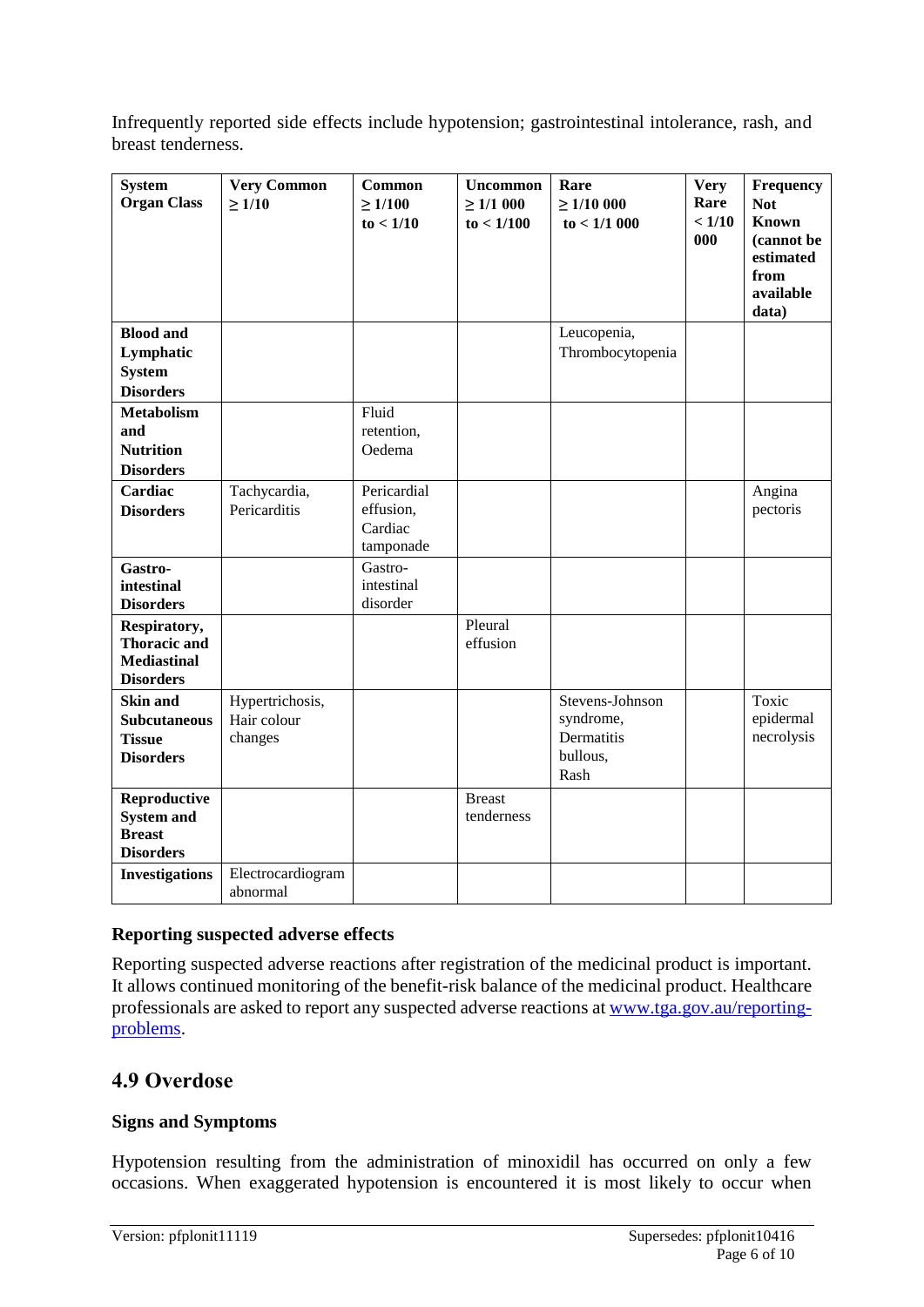Infrequently reported side effects include hypotension; gastrointestinal intolerance, rash, and breast tenderness.

| <b>System</b><br><b>Organ Class</b>                                           | <b>Very Common</b><br>$\geq 1/10$         | <b>Common</b><br>$\geq 1/100$<br>to < 1/10       | <b>Uncommon</b><br>$\geq 1/1000$<br>to < 1/100 | Rare<br>$\geq 1/10000$<br>to < 1/1000                          | <b>Very</b><br>Rare<br>< 1/10<br>000 | Frequency<br><b>Not</b><br><b>Known</b><br>(cannot be<br>estimated<br>from<br>available<br>data) |
|-------------------------------------------------------------------------------|-------------------------------------------|--------------------------------------------------|------------------------------------------------|----------------------------------------------------------------|--------------------------------------|--------------------------------------------------------------------------------------------------|
| <b>Blood and</b><br>Lymphatic<br><b>System</b><br><b>Disorders</b>            |                                           |                                                  |                                                | Leucopenia,<br>Thrombocytopenia                                |                                      |                                                                                                  |
| <b>Metabolism</b><br>and<br><b>Nutrition</b><br><b>Disorders</b>              |                                           | Fluid<br>retention,<br>Oedema                    |                                                |                                                                |                                      |                                                                                                  |
| Cardiac<br><b>Disorders</b>                                                   | Tachycardia,<br>Pericarditis              | Pericardial<br>effusion,<br>Cardiac<br>tamponade |                                                |                                                                |                                      | Angina<br>pectoris                                                                               |
| Gastro-<br>intestinal<br><b>Disorders</b>                                     |                                           | Gastro-<br>intestinal<br>disorder                |                                                |                                                                |                                      |                                                                                                  |
| Respiratory,<br><b>Thoracic and</b><br><b>Mediastinal</b><br><b>Disorders</b> |                                           |                                                  | Pleural<br>effusion                            |                                                                |                                      |                                                                                                  |
| <b>Skin and</b><br><b>Subcutaneous</b><br><b>Tissue</b><br><b>Disorders</b>   | Hypertrichosis,<br>Hair colour<br>changes |                                                  |                                                | Stevens-Johnson<br>syndrome,<br>Dermatitis<br>bullous,<br>Rash |                                      | Toxic<br>epidermal<br>necrolysis                                                                 |
| Reproductive<br><b>System and</b><br><b>Breast</b><br><b>Disorders</b>        |                                           |                                                  | <b>Breast</b><br>tenderness                    |                                                                |                                      |                                                                                                  |
| <b>Investigations</b>                                                         | Electrocardiogram<br>abnormal             |                                                  |                                                |                                                                |                                      |                                                                                                  |

### **Reporting suspected adverse effects**

Reporting suspected adverse reactions after registration of the medicinal product is important. It allows continued monitoring of the benefit-risk balance of the medicinal product. Healthcare professionals are asked to report any suspected adverse reactions at [www.tga.gov.au/reporting](http://www.tga.gov.au/reporting-problems)[problems.](http://www.tga.gov.au/reporting-problems)

### **4.9 Overdose**

### **Signs and Symptoms**

Hypotension resulting from the administration of minoxidil has occurred on only a few occasions. When exaggerated hypotension is encountered it is most likely to occur when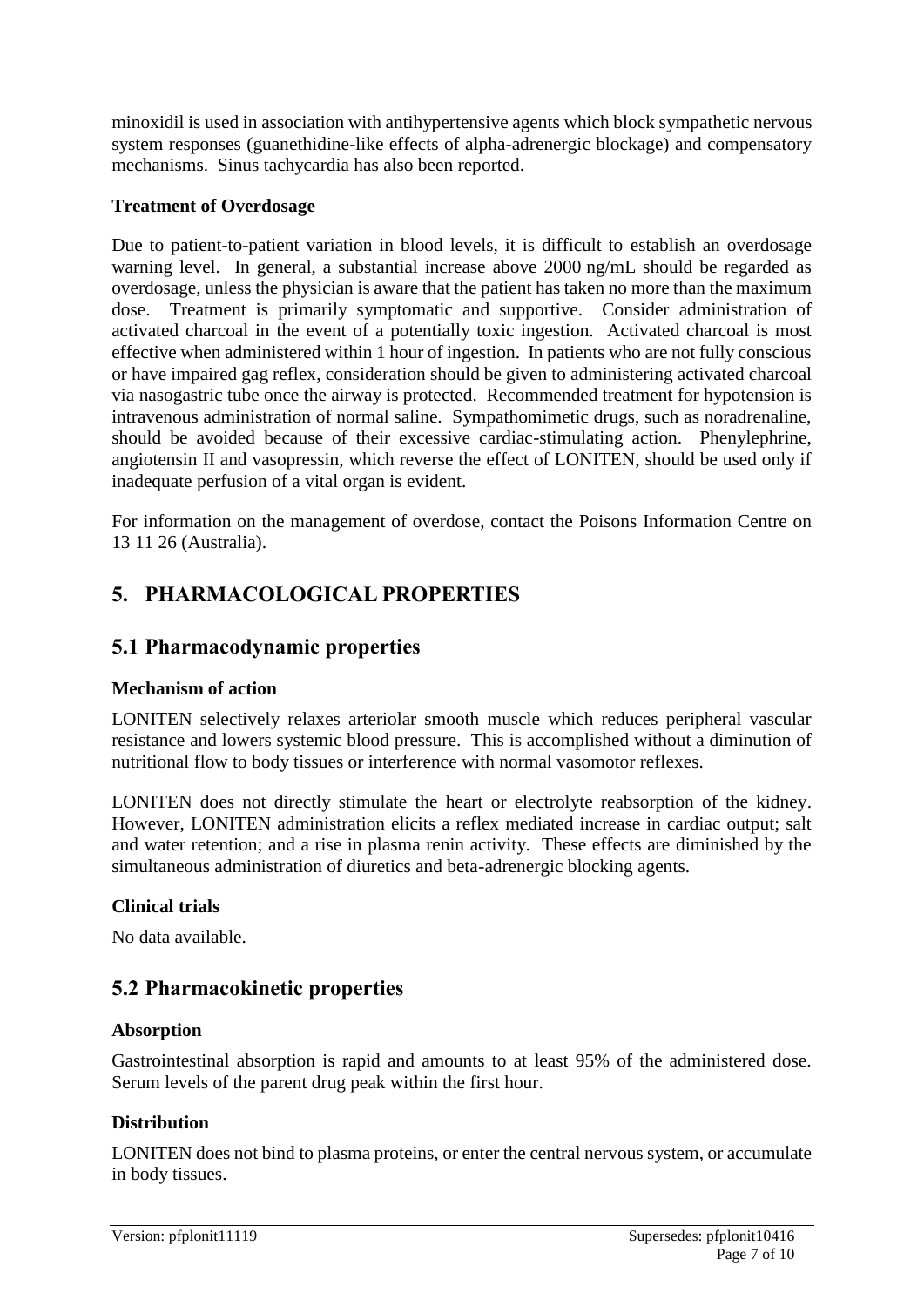minoxidil is used in association with antihypertensive agents which block sympathetic nervous system responses (guanethidine-like effects of alpha-adrenergic blockage) and compensatory mechanisms. Sinus tachycardia has also been reported.

### **Treatment of Overdosage**

Due to patient-to-patient variation in blood levels, it is difficult to establish an overdosage warning level. In general, a substantial increase above 2000 ng/mL should be regarded as overdosage, unless the physician is aware that the patient has taken no more than the maximum dose. Treatment is primarily symptomatic and supportive. Consider administration of activated charcoal in the event of a potentially toxic ingestion. Activated charcoal is most effective when administered within 1 hour of ingestion. In patients who are not fully conscious or have impaired gag reflex, consideration should be given to administering activated charcoal via nasogastric tube once the airway is protected. Recommended treatment for hypotension is intravenous administration of normal saline. Sympathomimetic drugs, such as noradrenaline, should be avoided because of their excessive cardiac-stimulating action. Phenylephrine, angiotensin II and vasopressin, which reverse the effect of LONITEN, should be used only if inadequate perfusion of a vital organ is evident.

For information on the management of overdose, contact the Poisons Information Centre on 13 11 26 (Australia).

# **5. PHARMACOLOGICAL PROPERTIES**

### **5.1 Pharmacodynamic properties**

### **Mechanism of action**

LONITEN selectively relaxes arteriolar smooth muscle which reduces peripheral vascular resistance and lowers systemic blood pressure. This is accomplished without a diminution of nutritional flow to body tissues or interference with normal vasomotor reflexes.

LONITEN does not directly stimulate the heart or electrolyte reabsorption of the kidney. However, LONITEN administration elicits a reflex mediated increase in cardiac output; salt and water retention; and a rise in plasma renin activity. These effects are diminished by the simultaneous administration of diuretics and beta-adrenergic blocking agents.

### **Clinical trials**

No data available.

# **5.2 Pharmacokinetic properties**

### **Absorption**

Gastrointestinal absorption is rapid and amounts to at least 95% of the administered dose. Serum levels of the parent drug peak within the first hour.

### **Distribution**

LONITEN does not bind to plasma proteins, or enter the central nervous system, or accumulate in body tissues.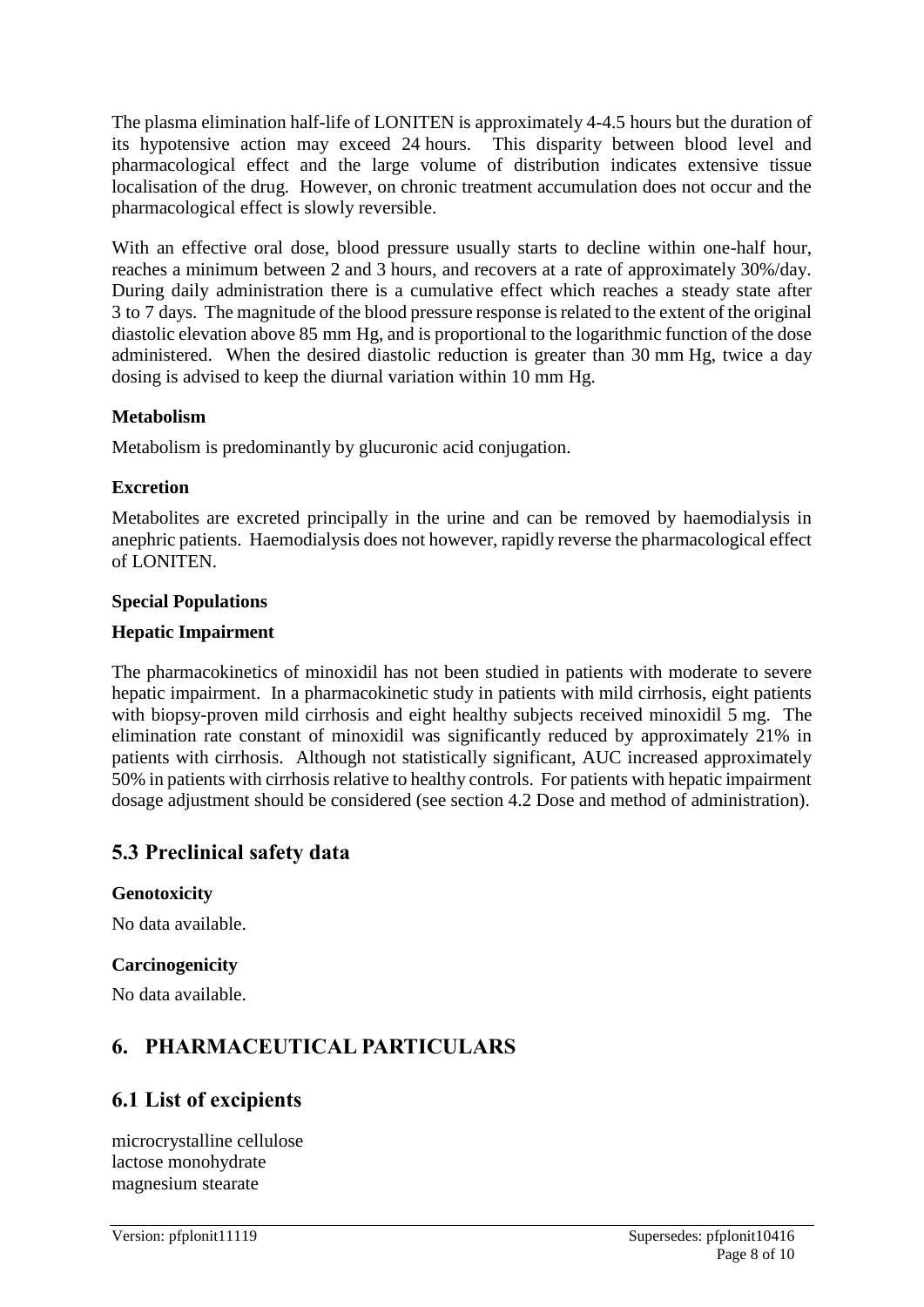The plasma elimination half-life of LONITEN is approximately 4-4.5 hours but the duration of its hypotensive action may exceed 24 hours. This disparity between blood level and pharmacological effect and the large volume of distribution indicates extensive tissue localisation of the drug. However, on chronic treatment accumulation does not occur and the pharmacological effect is slowly reversible.

With an effective oral dose, blood pressure usually starts to decline within one-half hour, reaches a minimum between 2 and 3 hours, and recovers at a rate of approximately 30%/day. During daily administration there is a cumulative effect which reaches a steady state after 3 to 7 days. The magnitude of the blood pressure response is related to the extent of the original diastolic elevation above 85 mm Hg, and is proportional to the logarithmic function of the dose administered. When the desired diastolic reduction is greater than 30 mm Hg, twice a day dosing is advised to keep the diurnal variation within 10 mm Hg.

### **Metabolism**

Metabolism is predominantly by glucuronic acid conjugation.

### **Excretion**

Metabolites are excreted principally in the urine and can be removed by haemodialysis in anephric patients. Haemodialysis does not however, rapidly reverse the pharmacological effect of LONITEN.

### **Special Populations**

### **Hepatic Impairment**

The pharmacokinetics of minoxidil has not been studied in patients with moderate to severe hepatic impairment. In a pharmacokinetic study in patients with mild cirrhosis, eight patients with biopsy-proven mild cirrhosis and eight healthy subjects received minoxidil 5 mg. The elimination rate constant of minoxidil was significantly reduced by approximately 21% in patients with cirrhosis. Although not statistically significant, AUC increased approximately 50% in patients with cirrhosis relative to healthy controls. For patients with hepatic impairment dosage adjustment should be considered (see section 4.2 Dose and method of administration).

# **5.3 Preclinical safety data**

### **Genotoxicity**

No data available.

### **Carcinogenicity**

No data available.

# **6. PHARMACEUTICAL PARTICULARS**

# **6.1 List of excipients**

microcrystalline cellulose lactose monohydrate magnesium stearate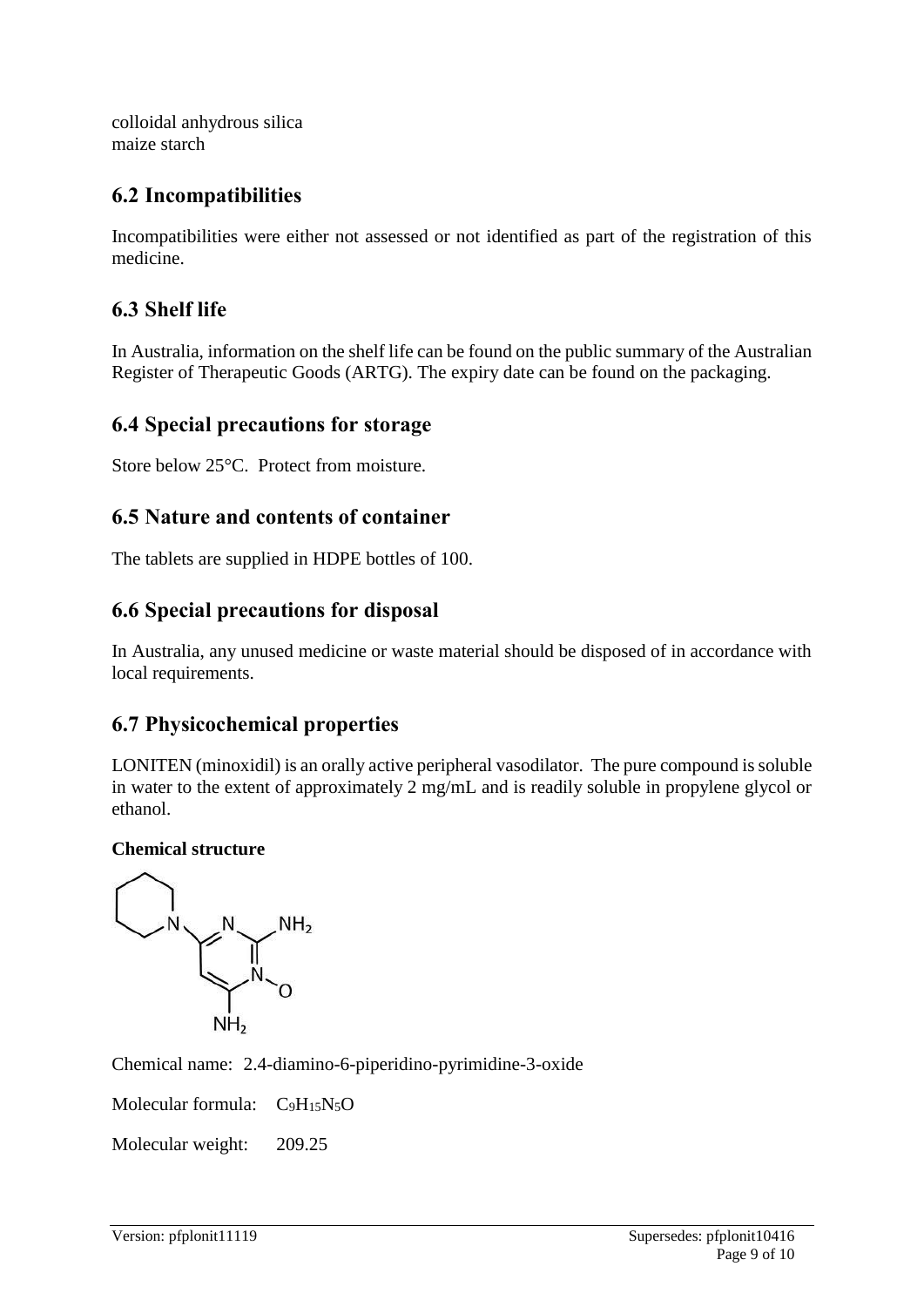colloidal anhydrous silica maize starch

# **6.2 Incompatibilities**

Incompatibilities were either not assessed or not identified as part of the registration of this medicine.

# **6.3 Shelf life**

In Australia, information on the shelf life can be found on the public summary of the Australian Register of Therapeutic Goods (ARTG). The expiry date can be found on the packaging.

### **6.4 Special precautions for storage**

Store below 25°C. Protect from moisture.

# **6.5 Nature and contents of container**

The tablets are supplied in HDPE bottles of 100.

### **6.6 Special precautions for disposal**

In Australia, any unused medicine or waste material should be disposed of in accordance with local requirements.

# **6.7 Physicochemical properties**

LONITEN (minoxidil) is an orally active peripheral vasodilator. The pure compound is soluble in water to the extent of approximately 2 mg/mL and is readily soluble in propylene glycol or ethanol.

### **Chemical structure**



Chemical name: 2.4-diamino-6-piperidino-pyrimidine-3-oxide

Molecular formula:  $C_9H_{15}N_5O$ 

Molecular weight: 209.25